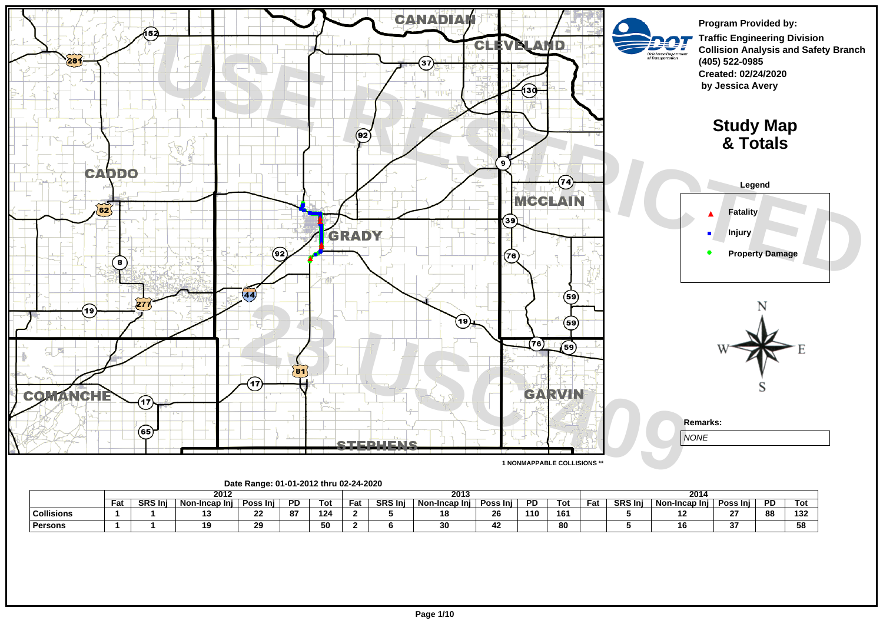

|                   |     |                | 2012            |          |           |     |     |                | 2013              |                  |     |     |     |               | 2014         |        |     |                       |
|-------------------|-----|----------------|-----------------|----------|-----------|-----|-----|----------------|-------------------|------------------|-----|-----|-----|---------------|--------------|--------|-----|-----------------------|
|                   | Fat | <b>SRS Ini</b> | Non-Incap Ini I | Poss Inj | <b>PD</b> | Tot | Fat | <b>SRS Inj</b> | Non<br>-Incap Ini | Poss Inj         | PD. | Tot | Fau | <b>SRS In</b> | Non-Incap In | Poss   | PD. | וס ו                  |
| <b>Collisions</b> |     |                |                 |          | 87        | 124 |     |                |                   | 26               | 110 | 161 |     |               |              | $\sim$ | 88  | $\overline{a}$<br>194 |
| <b>Persons</b>    |     |                |                 |          |           | 50  |     |                |                   | $\sqrt{2}$<br>42 |     | 80  |     |               | 10           | $\sim$ |     | 58                    |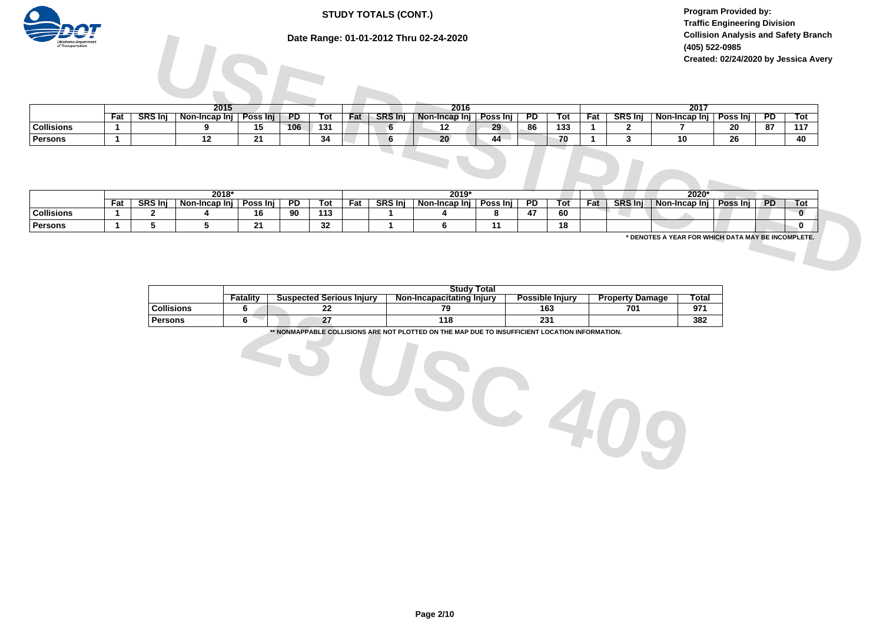# **STUDY TOTALS (CONT.)**

**Program Provided by: Traffic Engineering Division Collision Analysis and Safety Branch (405) 522-0985 Created: 02/24/2020 by Jessica Avery**

# **Date Range: 01-01-2012 Thru 02-24-2020**



|                   |                       |               |          |                |            |     |                | Date Range: 01-01-2012 Thru 02-24-2020 |          |                |     |     |                | (405) 522-0985           | <b>Collision Analysis and Safety Branch</b><br>Created: 02/24/2020 by Jessica Avery |                |              |
|-------------------|-----------------------|---------------|----------|----------------|------------|-----|----------------|----------------------------------------|----------|----------------|-----|-----|----------------|--------------------------|-------------------------------------------------------------------------------------|----------------|--------------|
|                   |                       |               |          |                |            |     |                |                                        |          |                |     |     |                |                          |                                                                                     |                |              |
|                   |                       | 2015          |          |                |            |     |                | 2016                                   |          |                |     |     |                | 2017                     |                                                                                     |                |              |
|                   | <b>SRS Inj</b><br>Fat | Non-Incap Inj | Poss Inj | PD             | Tot        | Fat | <b>SRS Inj</b> | Non-Incap Inj                          | Poss Inj | $\overline{P}$ | Tot | Fat | SRS Inj        | Non-Incap Inj            | Poss $lnj$                                                                          | $\overline{P}$ | Tot          |
| <b>Collisions</b> |                       | 9             | 15       | 106            | 131        |     | 6              | 12                                     | 29       | -86            | 133 |     | 2              |                          | 20                                                                                  | 87             | 117          |
| Persons           |                       | 12            | 21       |                | 34         |     | 6              | 20                                     | 44       |                | 70  |     | 3              | 10                       | 26                                                                                  |                | 40           |
|                   |                       |               |          |                |            |     |                |                                        |          |                |     |     |                |                          |                                                                                     |                |              |
|                   |                       |               |          |                |            |     |                |                                        |          |                |     |     |                |                          |                                                                                     |                |              |
|                   |                       | $2018*$       |          |                |            |     |                | $2019*$                                |          |                |     |     |                | 2020*                    |                                                                                     |                |              |
|                   | <b>SRS Inj</b><br>Fat | Non-Incap Inj | Poss Inj | $\overline{P}$ | <b>Tot</b> | Fat | <b>SRS Inj</b> | Non-Incap Inj   Poss Inj               |          | $\overline{P}$ | Tot | Fat | <b>SRS Inj</b> | Non-Incap Inj   Poss Inj |                                                                                     | <b>PD</b>      | Tot          |
| <b>Collisions</b> | 2                     |               | 16       | 90             | 113        |     |                |                                        | 8        | 47             | 60  |     |                |                          |                                                                                     |                | $\mathbf{0}$ |

|                   |     |               | $2018*$       |              |    |     |     |               | $2019*$       |          |    |     |     |               | 2020*               |               |       |      |
|-------------------|-----|---------------|---------------|--------------|----|-----|-----|---------------|---------------|----------|----|-----|-----|---------------|---------------------|---------------|-------|------|
|                   | Fat | <b>SRS In</b> | Non-Incap Ini | Poss<br>-Ini | РD | Tot | Fat | <b>SRS In</b> | Non-Incap Inj | Poss Inj | PD | Tot | Fat | <b>SRS In</b> | Non-lı<br>Incap Inj | Poss<br>: Ini | - PD. | l ot |
| <b>Collisions</b> |     |               |               | <br>ם ו      | 90 | 113 |     |               |               |          |    | 60  |     |               |                     |               |       |      |
| Persons           |     |               |               | - 1          |    | JZ  |     |               |               |          |    | 18  |     |               |                     |               |       |      |

|                   |          |                                 | <b>Study Total</b>             |                        |                                  |       |
|-------------------|----------|---------------------------------|--------------------------------|------------------------|----------------------------------|-------|
|                   | Fatalitv | <b>Suspected Serious Injury</b> | Non-Incapacitating<br>ı Iniurv | <b>Possible Injury</b> | <b>Property</b><br><b>Damage</b> | Total |
| <b>Collisions</b> |          | --                              | 70                             | 163                    | 701                              | 074   |
| Persons           |          | -                               | 118                            | 231                    |                                  | 382   |

**\*\* NONMAPPABLE COLLISIONS ARE NOT PLOTTED ON THE MAP DUE TO INSUFFICIENT LOCATION INFORMATION.**

**23 USC 409**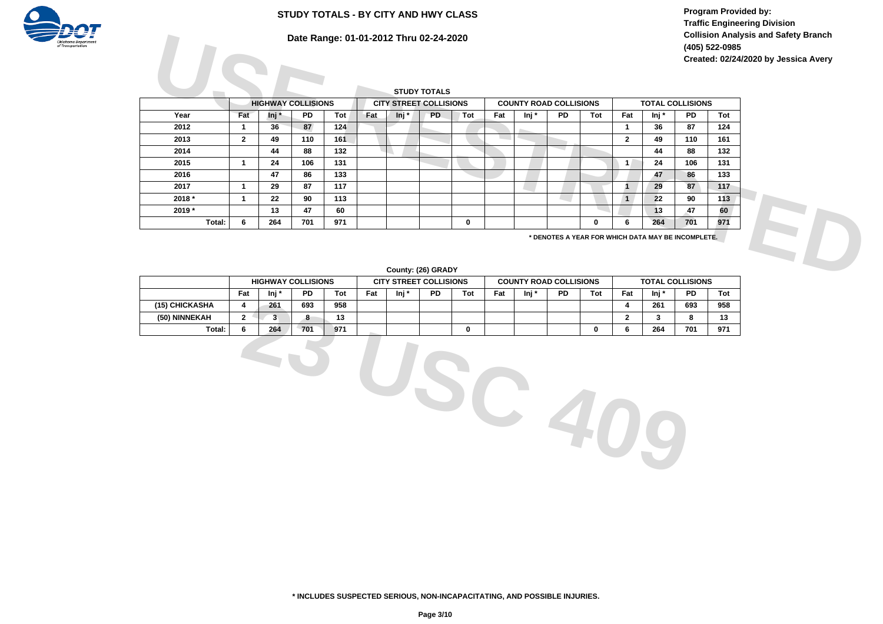**Program Provided by: Traffic Engineering Division Collision Analysis and Safety Branch (405) 522-0985 Created: 02/24/2020 by Jessica Avery**

# **STUDY TOTALS - BY CITY AND HWY CLASS**



|          |                |                           |           |     |     |       | Date Range: 01-01-2012 Thru 02-24-2020 |     |     |                               |           |     |              |                                                    |           | (405) 522-0985 | <b>Collision Analysis and Safety Branch</b> |  |
|----------|----------------|---------------------------|-----------|-----|-----|-------|----------------------------------------|-----|-----|-------------------------------|-----------|-----|--------------|----------------------------------------------------|-----------|----------------|---------------------------------------------|--|
|          |                |                           |           |     |     |       | <b>STUDY TOTALS</b>                    |     |     |                               |           |     |              |                                                    |           |                | Created: 02/24/2020 by Jessica Avery        |  |
|          |                | <b>HIGHWAY COLLISIONS</b> |           |     |     |       | <b>CITY STREET COLLISIONS</b>          |     |     | <b>COUNTY ROAD COLLISIONS</b> |           |     |              | <b>TOTAL COLLISIONS</b>                            |           |                |                                             |  |
| Year     | Fat            | lnj *                     | <b>PD</b> | Tot | Fat | Inj * | <b>PD</b>                              | Tot | Fat | $Inj^*$                       | <b>PD</b> | Tot | Fat          | lnj *                                              | <b>PD</b> | Tot            |                                             |  |
| 2012     |                | 36                        | 87        | 124 |     |       |                                        |     |     |                               |           |     |              | 36                                                 | 87        | 124            |                                             |  |
| 2013     | $\overline{2}$ | 49                        | 110       | 161 |     |       |                                        |     |     |                               |           |     | $\mathbf{2}$ | 49                                                 | 110       | 161            |                                             |  |
| 2014     |                | 44                        | 88        | 132 |     |       |                                        |     |     |                               |           |     |              | 44                                                 | 88        | 132            |                                             |  |
| 2015     |                | 24                        | 106       | 131 |     |       |                                        |     |     |                               |           |     | $\mathbf{1}$ | 24                                                 | 106       | 131            |                                             |  |
| 2016     |                | 47                        | 86        | 133 |     |       |                                        |     |     |                               |           |     |              | 47                                                 | 86        | 133            |                                             |  |
| 2017     |                | 29                        | 87        | 117 |     |       |                                        |     |     |                               |           |     |              | 29                                                 | 87        | 117            |                                             |  |
| $2018 *$ |                | 22                        | 90        | 113 |     |       |                                        |     |     |                               |           |     | $\mathbf{1}$ | 22                                                 | 90        | 113            |                                             |  |
| 2019*    |                | 13                        | 47        | 60  |     |       |                                        |     |     |                               |           |     |              | 13                                                 | 47        | 60             |                                             |  |
| Total:   | 6              | 264                       | 701       | 971 |     |       |                                        | 0   |     |                               |           | 0   | 6            | 264                                                | 701       | 971            |                                             |  |
|          |                |                           |           |     |     |       |                                        |     |     |                               |           |     |              | * DENOTES A YEAR FOR WHICH DATA MAY BE INCOMPLETE. |           |                |                                             |  |
|          |                |                           |           |     |     |       | County: (26) GRADY                     |     |     |                               |           |     |              |                                                    |           |                |                                             |  |

#### **County: (26) GRADY**

|                |     |       | <b>HIGHWAY COLLISIONS</b> |     | <b>CITY STREET COLLISIONS</b> |       |           |     |     |       | <b>COUNTY ROAD COLLISIONS</b> |     |     | <b>TOTAL COLLISIONS</b> |           |                    |
|----------------|-----|-------|---------------------------|-----|-------------------------------|-------|-----------|-----|-----|-------|-------------------------------|-----|-----|-------------------------|-----------|--------------------|
|                | Fat | lni ' | PD.                       | Tot | Fat                           | Ini ' | <b>PD</b> | Tot | Fat | lni i | <b>PD</b>                     | Tot | Fat | lni '                   | <b>PD</b> | Tot                |
| (15) CHICKASHA |     | 261   | 693                       | 958 |                               |       |           |     |     |       |                               |     |     | 261                     | 693       | 958                |
| (50) NINNEKAH  |     |       | 0                         | IJ  |                               |       |           |     |     |       |                               |     |     |                         |           | $\overline{A}$<br> |
| Total:         |     | 264   | 701                       | 971 |                               |       |           |     |     |       |                               |     |     | 264                     | 701       | 971                |

**23 USC 409**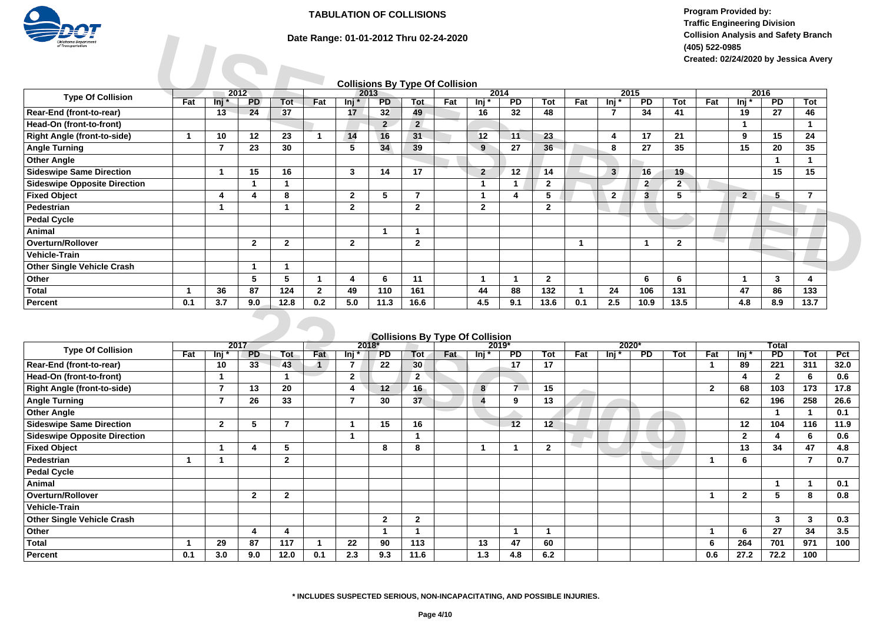

**Program Provided by: Traffic Engineering Division Collision Analysis and Safety Branch (405) 522-0985 Created: 02/24/2020 by Jessica Avery**

| Oklahoma Departmen<br>f Transportation |     |       |                   |              |              |                | Date Range: 01-01-2012 Thru 02-24-2020 |                |     |                |                         |                |     |              |                         |                      | (405) 522-0985 |                |                         | <b>Collision Analysis and Safety Branch</b><br>Created: 02/24/2020 by Jessica Avery |
|----------------------------------------|-----|-------|-------------------|--------------|--------------|----------------|----------------------------------------|----------------|-----|----------------|-------------------------|----------------|-----|--------------|-------------------------|----------------------|----------------|----------------|-------------------------|-------------------------------------------------------------------------------------|
|                                        |     |       |                   |              |              |                | <b>Collisions By Type Of Collision</b> |                |     |                |                         |                |     |              |                         |                      |                |                |                         |                                                                                     |
| <b>Type Of Collision</b>               | Fat | lni * | 2012<br><b>PD</b> | Tot          | Fat          | lni *          | 2013<br><b>PD</b>                      | <b>Tot</b>     | Fat | lnj *          | 2014<br>$\overline{PD}$ | Tot            | Fat | lnj *        | 2015<br>$\overline{PD}$ | Tot                  | Fat            | lnj *          | 2016<br>$\overline{PD}$ | Tot                                                                                 |
| Rear-End (front-to-rear)               |     | 13    | 24                | 37           |              | 17             | 32                                     | 49             |     | 16             | 32                      | 48             |     | 7            | 34                      | 41                   |                | 19             | 27                      | 46                                                                                  |
| Head-On (front-to-front)               |     |       |                   |              |              |                | 2 <sup>1</sup>                         | $\overline{2}$ |     |                |                         |                |     |              |                         |                      |                |                |                         |                                                                                     |
| <b>Right Angle (front-to-side)</b>     |     | 10    | 12                | 23           |              | 14             | 16                                     | 31             |     | 12             | 11                      | 23             |     | 4            | 17                      | 21                   |                | 9              | 15                      | 24                                                                                  |
| <b>Angle Turning</b>                   |     |       | 23                | 30           |              | 5              | 34                                     | 39             |     | 9              | 27                      | 36             |     | 8            | 27                      | 35                   |                | 15             | 20                      | 35                                                                                  |
| <b>Other Angle</b>                     |     |       |                   |              |              |                |                                        |                |     |                |                         |                |     |              |                         |                      |                |                |                         |                                                                                     |
| <b>Sideswipe Same Direction</b>        |     |       | 15                | 16           |              | 3              | 14                                     | 17             |     | $\overline{2}$ | 12                      | 14             |     | 3            | 16                      | 19                   |                |                | 15                      | 15                                                                                  |
| <b>Sideswipe Opposite Direction</b>    |     |       |                   |              |              |                |                                        |                |     |                |                         | $\mathbf{2}$   |     |              | $\overline{2}$          | $\mathbf{2}^{\circ}$ |                |                |                         |                                                                                     |
| <b>Fixed Object</b>                    |     | 4     | 4                 | 8            |              | $\overline{2}$ | 5                                      |                |     |                |                         | 5              |     | $\mathbf{2}$ | 3                       | 5                    |                | $\overline{2}$ | 5.                      | 7                                                                                   |
| Pedestrian                             |     |       |                   |              |              | $\overline{2}$ |                                        | $\mathbf{2}$   |     | $\mathbf{2}$   |                         | $\mathbf{2}$   |     |              |                         |                      |                |                |                         |                                                                                     |
| <b>Pedal Cycle</b>                     |     |       |                   |              |              |                |                                        |                |     |                |                         |                |     |              |                         |                      |                |                |                         |                                                                                     |
| Animal                                 |     |       |                   |              |              |                |                                        |                |     |                |                         |                |     |              |                         |                      |                |                |                         |                                                                                     |
| Overturn/Rollover                      |     |       | $\mathbf{2}$      | $\mathbf{2}$ |              | $\overline{2}$ |                                        | $\mathbf{2}$   |     |                |                         |                |     |              |                         | $\mathbf{2}$         |                |                |                         |                                                                                     |
| <b>Vehicle-Train</b>                   |     |       |                   |              |              |                |                                        |                |     |                |                         |                |     |              |                         |                      |                |                |                         |                                                                                     |
| <b>Other Single Vehicle Crash</b>      |     |       |                   |              |              |                |                                        |                |     |                |                         |                |     |              |                         |                      |                |                |                         |                                                                                     |
| Other                                  |     |       | 5                 | 5            |              | Δ              | 6                                      | 11             |     |                |                         | $\overline{2}$ |     |              | 6                       | 6                    |                |                | 3                       |                                                                                     |
| <b>Total</b>                           |     | 36    | 87                | 124          | $\mathbf{2}$ | 49             | 110                                    | 161            |     | 44             | 88                      | 132            |     | 24           | 106                     | 131                  |                | 47             | 86                      | 133                                                                                 |
| <b>Percent</b>                         | 0.1 | 3.7   | 9.0               | 12.8         | 0.2          | 5.0            | 11.3                                   | 16.6           |     | 4.5            | 9.1                     | 13.6           | 0.1 | 2.5          | 10.9                    | 13.5                 |                | 4.8            | 8.9                     | 13.7                                                                                |

# **Collisions By Type Of Collision**

| Percent                             | 0.1 | 3.7              | 9.0          | 12.8         | 0.2 | 5.0                      | 11.3         | 16.6                                   |     | 4.5                    | 9.1                      | 13.6         | 0.1 | 2.5   | 10.9           | 13.5 |              | 4.8          | 8.9          | 13.7       |      |
|-------------------------------------|-----|------------------|--------------|--------------|-----|--------------------------|--------------|----------------------------------------|-----|------------------------|--------------------------|--------------|-----|-------|----------------|------|--------------|--------------|--------------|------------|------|
|                                     |     |                  |              |              |     |                          |              | <b>Collisions By Type Of Collision</b> |     |                        |                          |              |     |       |                |      |              |              |              |            |      |
|                                     |     |                  | 2017         |              |     |                          | $2018*$      |                                        |     |                        | $2019*$                  |              |     |       | 2020*          |      |              |              | <b>Total</b> |            |      |
| <b>Type Of Collision</b>            | Fat | $\overline{\ln}$ | <b>PD</b>    | Tot          | Fat | lni *                    | <b>PD</b>    | Tot                                    | Fat | lnj *                  | $\overline{PD}$          | Tot          | Fat | lnj * | $\overline{P}$ | Tot  | Fat          | lnj *        | PD           | <b>Tot</b> | Pct  |
| Rear-End (front-to-rear)            |     | 10               | 33           | 43           |     | 7                        | 22           | 30                                     |     |                        | 17                       | 17           |     |       |                |      |              | 89           | 221          | 311        | 32.0 |
| Head-On (front-to-front)            |     |                  |              |              |     | $\overline{2}$           |              | $\overline{2}$                         |     |                        |                          |              |     |       |                |      |              | 4            | $\mathbf{2}$ | 6          | 0.6  |
| <b>Right Angle (front-to-side)</b>  |     |                  | 13           | 20           |     | 4                        | 12           | 16                                     |     | 8                      | $\overline{\phantom{a}}$ | 15           |     |       |                |      | $\mathbf{2}$ | 68           | 103          | 173        | 17.8 |
| <b>Angle Turning</b>                |     |                  | 26           | 33           |     | $\overline{\phantom{a}}$ | 30           | 37                                     |     | $\boldsymbol{\Lambda}$ | 9                        | 13           |     |       |                |      |              | 62           | 196          | 258        | 26.6 |
| <b>Other Angle</b>                  |     |                  |              |              |     |                          |              |                                        |     |                        |                          |              |     |       |                |      |              |              |              |            | 0.1  |
| <b>Sideswipe Same Direction</b>     |     | $\overline{2}$   | 5            | 7            |     |                          | 15           | 16                                     |     |                        | 12                       | 12           |     |       |                |      |              | 12           | 104          | 116        | 11.9 |
| <b>Sideswipe Opposite Direction</b> |     |                  |              |              |     |                          |              |                                        |     |                        |                          |              |     |       |                |      |              | $\mathbf{2}$ |              | 6          | 0.6  |
| <b>Fixed Object</b>                 |     |                  | 4            | 5            |     |                          | 8            | 8                                      |     |                        |                          | $\mathbf{2}$ |     |       |                |      |              | 13           | 34           | 47         | 4.8  |
| Pedestrian                          |     |                  |              | $\mathbf{2}$ |     |                          |              |                                        |     |                        |                          |              |     |       |                |      |              | 6            |              | 7          | 0.7  |
| <b>Pedal Cycle</b>                  |     |                  |              |              |     |                          |              |                                        |     |                        |                          |              |     |       |                |      |              |              |              |            |      |
| Animal                              |     |                  |              |              |     |                          |              |                                        |     |                        |                          |              |     |       |                |      |              |              |              |            | 0.1  |
| <b>Overturn/Rollover</b>            |     |                  | $\mathbf{2}$ | $\mathbf{2}$ |     |                          |              |                                        |     |                        |                          |              |     |       |                |      |              | $\mathbf{2}$ | 5            | 8          | 0.8  |
| <b>Vehicle-Train</b>                |     |                  |              |              |     |                          |              |                                        |     |                        |                          |              |     |       |                |      |              |              |              |            |      |
| <b>Other Single Vehicle Crash</b>   |     |                  |              |              |     |                          | $\mathbf{2}$ | $\mathbf{2}$                           |     |                        |                          |              |     |       |                |      |              |              | 3            | 3          | 0.3  |
| Other                               |     |                  | 4            | 4            |     |                          | 1            |                                        |     |                        | $\overline{\mathbf{1}}$  |              |     |       |                |      |              | 6            | 27           | 34         | 3.5  |
| <b>Total</b>                        |     | 29               | 87           | 117          |     | 22                       | 90           | 113                                    |     | 13                     | 47                       | 60           |     |       |                |      | 6            | 264          | 701          | 971        | 100  |
| Percent                             | 0.1 | 3.0              | 9.0          | 12.0         | 0.1 | 2.3                      | 9.3          | 11.6                                   |     | 1.3                    | 4.8                      | 6.2          |     |       |                |      | 0.6          | 27.2         | 72.2         | 100        |      |

#### **\* INCLUDES SUSPECTED SERIOUS, NON-INCAPACITATING, AND POSSIBLE INJURIES.**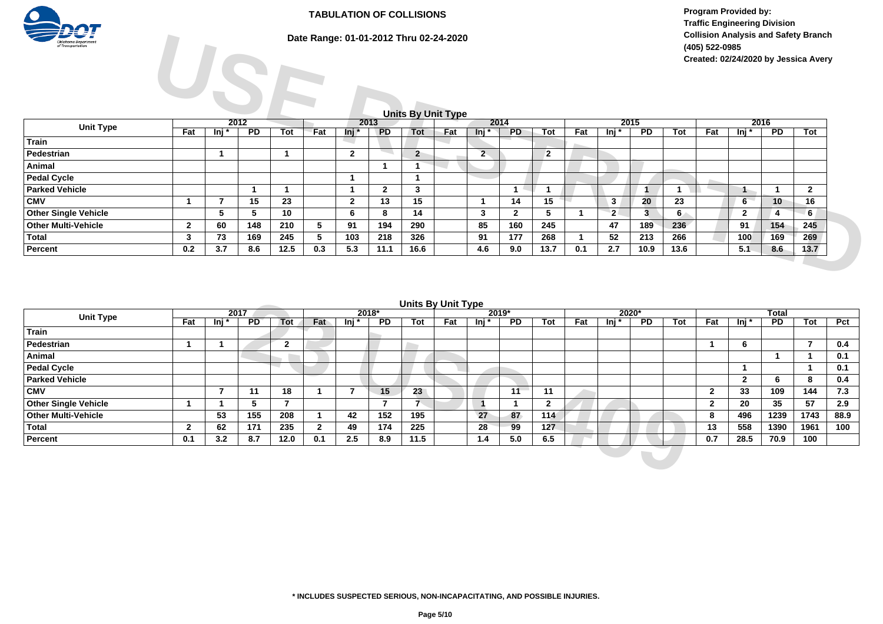

# **Date Range: 01-01-2012 Thru 02-24-2020**

**Program Provided by: Traffic Engineering Division Collision Analysis and Safety Branch (405) 522-0985 Created: 02/24/2020 by Jessica Avery**

### **Units By Unit Type**

| 75 V i<br><b>Oklahoma Departmen</b><br>of Transportation |              |                     |                 |      |     |                |                 |                | Date Range: 01-01-2012 Thru 02-24-2020<br><b>Units By Unit Type</b> |         |              |              |     |                |                 |      | (405) 522-0985 |              |                 | <b>Collision Analysis and Safety Branch</b><br>Created: 02/24/2020 by Jessica Avery |
|----------------------------------------------------------|--------------|---------------------|-----------------|------|-----|----------------|-----------------|----------------|---------------------------------------------------------------------|---------|--------------|--------------|-----|----------------|-----------------|------|----------------|--------------|-----------------|-------------------------------------------------------------------------------------|
|                                                          |              |                     | 2012            |      |     |                | 2013            |                |                                                                     |         | 2014         |              |     |                | 2015            |      |                |              | 2016            |                                                                                     |
| <b>Unit Type</b>                                         | Fat          | $\overline{\ln}$ in | $\overline{PD}$ | Tot  | Fat | lnj *          | $\overline{PD}$ | Tot            | Fat                                                                 | $Inj^*$ | <b>PD</b>    | Tot          | Fat | $lnj^*$        | $\overline{PD}$ | Tot  | Fat            | lnj *        | $\overline{PD}$ | Tot                                                                                 |
| <b>Train</b>                                             |              |                     |                 |      |     |                |                 |                |                                                                     |         |              |              |     |                |                 |      |                |              |                 |                                                                                     |
| Pedestrian                                               |              |                     |                 |      |     | $\overline{2}$ |                 | $\overline{2}$ |                                                                     | $2 -$   |              | $\mathbf{2}$ |     |                |                 |      |                |              |                 |                                                                                     |
| Animal                                                   |              |                     |                 |      |     |                |                 |                |                                                                     |         |              |              |     |                |                 |      |                |              |                 |                                                                                     |
| <b>Pedal Cycle</b>                                       |              |                     |                 |      |     |                |                 |                |                                                                     |         |              |              |     |                |                 |      |                |              |                 |                                                                                     |
| <b>Parked Vehicle</b>                                    |              |                     |                 |      |     |                | $\mathbf{2}$    | 3              |                                                                     |         |              |              |     |                |                 |      |                |              |                 | $\mathbf{2}$                                                                        |
| <b>CMV</b>                                               |              |                     | 15              | 23   |     | $\mathbf{2}$   | 13              | 15             |                                                                     |         | 14           | 15           |     | 3              | 20              | 23   |                | $6^{\circ}$  | 10              | 16                                                                                  |
| <b>Other Single Vehicle</b>                              |              | 5                   | 5               | 10   |     | 6              | 8               | 14             |                                                                     | 3       | $\mathbf{2}$ | 5            |     | 2 <sup>1</sup> | $\mathbf{3}$    | 6    |                | $\mathbf{2}$ | 4               | 6 <sub>1</sub>                                                                      |
| <b>Other Multi-Vehicle</b>                               | $\mathbf{2}$ | 60                  | 148             | 210  | 5   | 91             | 194             | 290            |                                                                     | 85      | 160          | 245          |     | 47             | 189             | 236  |                | 91           | 154             | 245                                                                                 |
| <b>Total</b>                                             | 3            | 73                  | 169             | 245  | 5   | 103            | 218             | 326            |                                                                     | 91      | 177          | 268          |     | 52             | 213             | 266  |                | 100          | 169             | 269                                                                                 |
| Percent                                                  | 0.2          | 3.7                 | 8.6             | 12.5 | 0.3 | 5.3            | 11.1            | 16.6           |                                                                     | 4.6     | 9.0          | 13.7         | 0.1 | 2.7            | 10.9            | 13.6 |                | 5.1          | 8.6             | 13.7                                                                                |

| Units By Unit Type |  |
|--------------------|--|
|                    |  |

|                             |              |       | 2017            |                |     |         | $2018*$         | Units By Unit Type |     |                                | $2019*$         |              |     |       | $2020*$ |     |              |                | <b>Total</b>    |      |      |
|-----------------------------|--------------|-------|-----------------|----------------|-----|---------|-----------------|--------------------|-----|--------------------------------|-----------------|--------------|-----|-------|---------|-----|--------------|----------------|-----------------|------|------|
| <b>Unit Type</b>            | Fat          | lnj * | PD <sup>-</sup> | Tot            | Fat | lnj *   | $\overline{PD}$ | Tot                | Fat | $\overline{\mathsf{m}}$ i $^*$ | $\overline{PD}$ | Tot          | Fat | lni * | PD.     | Tot | Fat          | lnj *          | $\overline{PD}$ | Tot  | Pct  |
| Train                       |              |       |                 |                |     |         |                 |                    |     |                                |                 |              |     |       |         |     |              |                |                 |      |      |
| Pedestrian                  |              |       |                 | $\sqrt{2}$     |     |         |                 |                    |     |                                |                 |              |     |       |         |     |              | 6              |                 |      | 0.4  |
| Animal                      |              |       |                 | <b>COLLEGE</b> |     |         |                 |                    |     |                                |                 |              |     |       |         |     |              |                |                 |      | 0.1  |
| <b>Pedal Cycle</b>          |              |       |                 |                |     |         |                 |                    |     |                                |                 |              |     |       |         |     |              |                |                 |      | 0.1  |
| <b>Parked Vehicle</b>       |              |       |                 |                |     |         |                 |                    |     |                                |                 |              |     |       |         |     |              | $\overline{2}$ | b               | 8    | 0.4  |
| <b>CMV</b>                  |              |       | -11             | 18             |     |         | 15              | 23                 |     |                                | 11              | 11           |     |       |         |     | 2            | 33             | 109             | 144  | 7.3  |
| <b>Other Single Vehicle</b> |              |       | D.              |                |     |         |                 |                    |     |                                |                 | $\mathbf{2}$ |     |       |         |     | $\mathbf{2}$ | 20             | 35              | 57   | 2.9  |
| <b>Other Multi-Vehicle</b>  |              | 53    | 155             | 208            |     | 42      | 152             | 195                |     | 27                             | 87              | 114          |     |       |         |     | 8            | 496            | 1239            | 1743 | 88.9 |
| <b>Total</b>                | $\mathbf{2}$ | 62    | 171             | 235            |     | 49      | 174             | 225                |     | 28                             | 99              | 127          |     |       |         |     | 13           | 558            | 1390            | 1961 | 100  |
| Percent                     | 0.1          | 3.2   | 8.7             | 12.0           | 0.1 | $2.5\,$ | 8.9             | 11.5               |     | 1.4                            | 5.0             | 6.5          |     |       |         |     | 0.7          | 28.5           | 70.9            | 100  |      |
|                             |              |       |                 |                |     |         |                 |                    |     |                                |                 |              |     |       |         |     |              |                |                 |      |      |
|                             |              |       |                 |                |     |         |                 |                    |     |                                |                 |              |     |       |         |     |              |                |                 |      |      |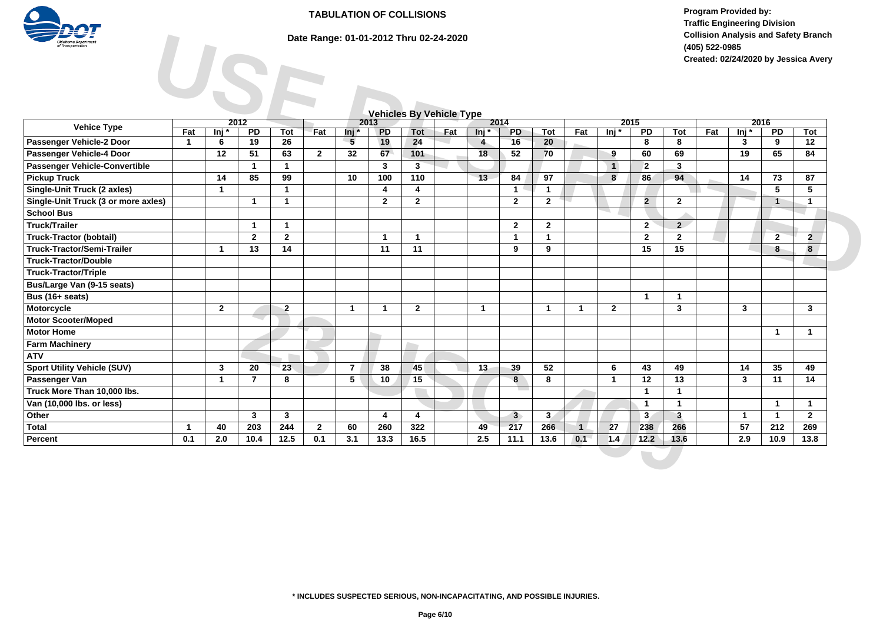

# **Date Range: 01-01-2012 Thru 02-24-2020**

**Program Provided by: Traffic Engineering Division Collision Analysis and Safety Branch (405) 522-0985 Created: 02/24/2020 by Jessica Avery**

| <b>Oklahoma</b> Department<br>Fransportation |                | Date Range: 01-01-2012 Thru 02-24-2020<br><b>Collision Analysis and Safety Branch</b><br>(405) 522-0985<br>Created: 02/24/2020 by Jessica Avery |                 |                |              |                |                 |                |                                 |                |                |                |              |                |                 |                         |     |                  |                         |                |
|----------------------------------------------|----------------|-------------------------------------------------------------------------------------------------------------------------------------------------|-----------------|----------------|--------------|----------------|-----------------|----------------|---------------------------------|----------------|----------------|----------------|--------------|----------------|-----------------|-------------------------|-----|------------------|-------------------------|----------------|
|                                              |                |                                                                                                                                                 |                 |                |              |                |                 |                | <b>Vehicles By Vehicle Type</b> |                |                |                |              |                |                 |                         |     |                  |                         |                |
| <b>Vehice Type</b>                           |                | 2012                                                                                                                                            |                 |                |              |                | 2013            |                |                                 |                | 2014           |                |              |                | 2015            |                         |     |                  | 2016                    |                |
|                                              | Fat            | ln <sub>i</sub>                                                                                                                                 | $\overline{PD}$ | Tot            | Fat          | lnj *          | $\overline{PD}$ | <b>Tot</b>     | Fat                             | lnj*           | <b>PD</b>      | Tot            | Fat          | lnj *          | $\overline{PD}$ | <b>Tot</b>              | Fat | $\overline{\ln}$ | $\overline{PD}$         | <b>Tot</b>     |
| Passenger Vehicle-2 Door                     | $\overline{1}$ | 6                                                                                                                                               | 19              | 26             |              | $-5$           | 19              | 24             |                                 | 4              | 16             | 20             |              |                | 8               | 8                       |     | 3                | 9                       | 12             |
| Passenger Vehicle-4 Door                     |                | 12                                                                                                                                              | 51              | 63             | $\mathbf{2}$ | 32             | 67              | 101            |                                 | 18             | 52             | 70             |              | 9              | 60              | 69                      |     | 19               | 65                      | 84             |
| Passenger Vehicle-Convertible                |                |                                                                                                                                                 | $\mathbf{1}$    | $\mathbf{1}$   |              |                | 3               | 3              |                                 |                |                |                |              | $\overline{1}$ | $\overline{2}$  | 3                       |     |                  |                         |                |
| <b>Pickup Truck</b>                          |                | 14                                                                                                                                              | 85              | 99             |              | 10             | 100             | 110            |                                 | 13             | 84             | 97             |              | 8              | 86              | 94                      |     | 14               | 73                      | 87             |
| <b>Single-Unit Truck (2 axles)</b>           |                | $\mathbf{1}$                                                                                                                                    |                 | $\mathbf{1}$   |              |                | 4               | $\overline{4}$ |                                 |                | $\mathbf{1}$   | $\mathbf{1}$   |              |                |                 |                         |     |                  | 5                       | 5              |
| Single-Unit Truck (3 or more axles)          |                |                                                                                                                                                 | $\mathbf{1}$    | $\mathbf{1}$   |              |                | $\overline{2}$  | $\overline{2}$ |                                 |                | $\overline{2}$ | $\overline{2}$ |              |                | $\overline{2}$  | $\mathbf{2}$            |     |                  | $\overline{1}$          | $\cdot$ 1      |
| <b>School Bus</b>                            |                |                                                                                                                                                 |                 |                |              |                |                 |                |                                 |                |                |                |              |                |                 |                         |     |                  |                         |                |
| <b>Truck/Trailer</b>                         |                |                                                                                                                                                 | $\mathbf{1}$    | $\mathbf{1}$   |              |                |                 |                |                                 |                | $\overline{2}$ | $\overline{2}$ |              |                | $2^{\circ}$     | $2\overline{ }$         |     |                  |                         |                |
| <b>Truck-Tractor (bobtail)</b>               |                |                                                                                                                                                 | $\mathbf{2}$    | $\mathbf{2}$   |              |                | -1              | $\overline{1}$ |                                 |                | $\mathbf{1}$   | $\mathbf{1}$   |              |                | $\mathbf{2}$    | $\mathbf{2}$            |     |                  | $\mathbf{2}$            | $\overline{2}$ |
| <b>Truck-Tractor/Semi-Trailer</b>            |                | $\mathbf{1}$                                                                                                                                    | 13              | 14             |              |                | 11              | 11             |                                 |                | 9              | 9              |              |                | 15              | 15                      |     |                  | 8                       | 8              |
| <b>Truck-Tractor/Double</b>                  |                |                                                                                                                                                 |                 |                |              |                |                 |                |                                 |                |                |                |              |                |                 |                         |     |                  |                         |                |
| <b>Truck-Tractor/Triple</b>                  |                |                                                                                                                                                 |                 |                |              |                |                 |                |                                 |                |                |                |              |                |                 |                         |     |                  |                         |                |
| Bus/Large Van (9-15 seats)                   |                |                                                                                                                                                 |                 |                |              |                |                 |                |                                 |                |                |                |              |                |                 |                         |     |                  |                         |                |
| Bus (16+ seats)                              |                |                                                                                                                                                 |                 |                |              |                |                 |                |                                 |                |                |                |              |                | $\mathbf{1}$    | $\overline{\mathbf{1}}$ |     |                  |                         |                |
| Motorcycle                                   |                | $\overline{2}$                                                                                                                                  |                 | $\overline{2}$ |              | $\mathbf{1}$   | $\mathbf 1$     | $\overline{2}$ |                                 | $\overline{1}$ |                | $\mathbf{1}$   | $\mathbf{1}$ | $\overline{2}$ |                 | 3                       |     | $\mathbf{3}$     |                         | $\mathbf{3}$   |
| <b>Motor Scooter/Moped</b>                   |                |                                                                                                                                                 |                 |                |              |                |                 |                |                                 |                |                |                |              |                |                 |                         |     |                  |                         |                |
| <b>Motor Home</b>                            |                |                                                                                                                                                 |                 |                |              |                |                 |                |                                 |                |                |                |              |                |                 |                         |     |                  | $\overline{\mathbf{1}}$ | $\mathbf{1}$   |
| <b>Farm Machinery</b>                        |                |                                                                                                                                                 |                 |                |              |                |                 |                |                                 |                |                |                |              |                |                 |                         |     |                  |                         |                |
| <b>ATV</b>                                   |                |                                                                                                                                                 |                 |                |              |                |                 |                |                                 |                |                |                |              |                |                 |                         |     |                  |                         |                |
| <b>Sport Utility Vehicle (SUV)</b>           |                | $\mathbf{3}$                                                                                                                                    | 20              | 23             |              | $\overline{7}$ | 38              | 45             |                                 | 13             | 39             | 52             |              | 6              | 43              | 49                      |     | 14               | 35                      | 49             |
| Passenger Van                                |                | $\mathbf{1}$                                                                                                                                    | $\overline{7}$  | 8              |              | 5 <sup>5</sup> | 10              | 15             |                                 |                | $\bf{8}$       | 8              |              | $\mathbf{1}$   | 12              | 13                      |     | $\mathbf{3}$     | 11                      | 14             |
| Truck More Than 10,000 lbs.                  |                |                                                                                                                                                 |                 |                |              |                |                 |                |                                 |                |                |                |              |                | $\mathbf{1}$    | 1                       |     |                  |                         |                |
| Van (10,000 lbs. or less)                    |                |                                                                                                                                                 |                 |                |              |                |                 |                |                                 |                |                |                |              |                | $\mathbf{1}$    | $\mathbf{1}$            |     |                  | $\overline{1}$          | $\mathbf{1}$   |
| Other                                        |                |                                                                                                                                                 | $\mathbf{3}$    | 3              |              |                | 4               | $\overline{4}$ |                                 |                | 3 <sup>2</sup> | 3 <sub>l</sub> |              |                | 3 <sub>1</sub>  | $\mathbf{3}$            |     | $\mathbf{1}$     | $\overline{1}$          | $\mathbf{2}$   |
| <b>Total</b>                                 | $\mathbf{1}$   | 40                                                                                                                                              | 203             | 244            | $\mathbf{2}$ | 60             | 260             | 322            |                                 | 49             | 217            | 266            | $\mathbf{1}$ | 27             | 238             | 266                     |     | 57               | 212                     | 269            |
| Percent                                      | 0.1            | 2.0                                                                                                                                             | 10.4            | 12.5           | 0.1          | 3.1            | 13.3            | 16.5           |                                 | 2.5            | 11.1           | 13.6           | 0.1          | 1.4            | $12.2$          | 13.6                    |     | 2.9              | 10.9                    | 13.8           |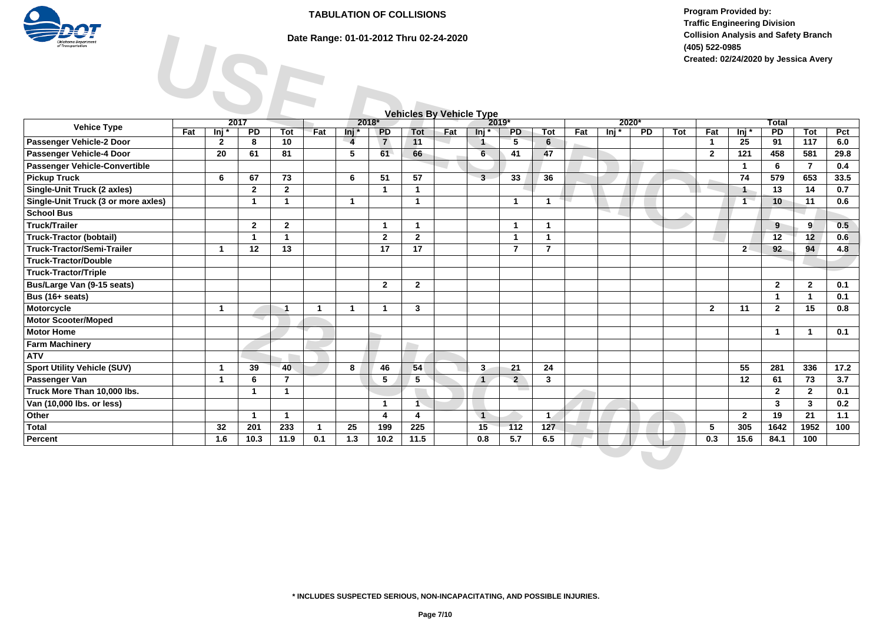

# **Date Range: 01-01-2012 Thru 02-24-2020**

**Program Provided by: Traffic Engineering Division Collision Analysis and Safety Branch (405) 522-0985 Created: 02/24/2020 by Jessica Avery**

|                                     |     |                 |              |                      |              |                |                 |                      |                                 |                      |                |                | <b>Collision Analysis and Safety Branch</b><br>(405) 522-0985<br>Created: 02/24/2020 by Jessica Avery |       |                 |     |                |                  |                 |                |       |  |  |
|-------------------------------------|-----|-----------------|--------------|----------------------|--------------|----------------|-----------------|----------------------|---------------------------------|----------------------|----------------|----------------|-------------------------------------------------------------------------------------------------------|-------|-----------------|-----|----------------|------------------|-----------------|----------------|-------|--|--|
|                                     |     |                 |              |                      |              |                |                 |                      | <b>Vehicles By Vehicle Type</b> |                      |                |                |                                                                                                       |       |                 |     |                |                  |                 |                |       |  |  |
| <b>Vehice Type</b>                  |     | 2017            |              |                      |              | 2018*          |                 |                      |                                 |                      | 2019*          |                |                                                                                                       | 2020* |                 |     |                |                  | <b>Total</b>    |                |       |  |  |
|                                     | Fat | ln <sub>i</sub> | PD           | Tot                  | Fat          | lnj *          | $\overline{PD}$ | <b>Tot</b>           | Fat                             | lni *                | <b>PD</b>      | Tot            | Fat                                                                                                   | lni * | $\overline{PD}$ | Tot | Fat            | $\overline{\ln}$ | $\overline{PD}$ | Tot            | Pct   |  |  |
| Passenger Vehicle-2 Door            |     | $\mathbf{2}$    | 8            | 10                   |              | $\overline{4}$ | $\overline{7}$  | 11                   |                                 | $\overline{1}$       | 5              | 6              |                                                                                                       |       |                 |     | $\mathbf{1}$   | 25               | 91              | 117            | 6.0   |  |  |
| Passenger Vehicle-4 Door            |     | 20              | 61           | 81                   |              | 5              | 61              | 66                   |                                 | 6                    | 41             | 47             |                                                                                                       |       |                 |     | $\overline{2}$ | 121              | 458             | 581            | 29.8  |  |  |
| Passenger Vehicle-Convertible       |     |                 |              |                      |              |                |                 |                      |                                 |                      |                |                |                                                                                                       |       |                 |     |                | $\mathbf{1}$     | 6               | $\overline{7}$ | 0.4   |  |  |
| <b>Pickup Truck</b>                 |     | 6               | 67           | 73                   |              | 6              | 51              | 57                   |                                 | $\overline{3}$       | 33             | 36             |                                                                                                       |       |                 |     |                | 74               | 579             | 653            | 33.5  |  |  |
| <b>Single-Unit Truck (2 axles)</b>  |     |                 | $\mathbf{2}$ | $\mathbf{2}$         |              |                | $\mathbf{1}$    | $\mathbf{1}$         |                                 |                      |                |                |                                                                                                       |       |                 |     |                | $\mathbf{1}$     | 13              | 14             | 0.7   |  |  |
| Single-Unit Truck (3 or more axles) |     |                 | $\mathbf{1}$ | $\mathbf{1}$         |              | $\mathbf{1}$   |                 | $\mathbf{1}$         |                                 |                      | $\mathbf{1}$   | $\mathbf{1}$   |                                                                                                       |       |                 |     |                | $\mathbf{1}$     | 10              | $-11$          | 0.6   |  |  |
| <b>School Bus</b>                   |     |                 |              |                      |              |                |                 |                      |                                 |                      |                |                |                                                                                                       |       |                 |     |                |                  |                 |                |       |  |  |
| <b>Truck/Trailer</b>                |     |                 | $\mathbf{2}$ | $\mathbf{2}$         |              |                | $\mathbf 1$     | $\overline{1}$       |                                 |                      | $\mathbf{1}$   | $\mathbf{1}$   |                                                                                                       |       |                 |     |                |                  | 9               | 9              | 0.5   |  |  |
| <b>Truck-Tractor (bobtail)</b>      |     |                 | $\mathbf{1}$ | $\mathbf{1}$         |              |                | $\overline{2}$  | $\overline{2}$       |                                 |                      | $\mathbf{1}$   | $\mathbf{1}$   |                                                                                                       |       |                 |     |                |                  | 12              | 12             | 0.6   |  |  |
| <b>Truck-Tractor/Semi-Trailer</b>   |     | $\mathbf{1}$    | 12           | 13                   |              |                | 17              | 17                   |                                 |                      | $\overline{7}$ | $\overline{7}$ |                                                                                                       |       |                 |     |                | 2 <sup>1</sup>   | 92              | 94             | 4.8   |  |  |
| <b>Truck-Tractor/Double</b>         |     |                 |              |                      |              |                |                 |                      |                                 |                      |                |                |                                                                                                       |       |                 |     |                |                  |                 |                |       |  |  |
| <b>Truck-Tractor/Triple</b>         |     |                 |              |                      |              |                |                 |                      |                                 |                      |                |                |                                                                                                       |       |                 |     |                |                  |                 |                |       |  |  |
| Bus/Large Van (9-15 seats)          |     |                 |              |                      |              |                | $\overline{2}$  | $\overline{2}$       |                                 |                      |                |                |                                                                                                       |       |                 |     |                |                  | $\overline{2}$  | $\mathbf{2}$   | 0.1   |  |  |
| Bus (16+ seats)                     |     |                 |              |                      |              |                |                 |                      |                                 |                      |                |                |                                                                                                       |       |                 |     |                |                  | $\overline{1}$  | $\mathbf{1}$   | 0.1   |  |  |
| Motorcycle                          |     | $\mathbf{1}$    |              | $\blacktriangleleft$ | $\mathbf{1}$ | $\mathbf{1}$   | 1               | $\mathbf{3}$         |                                 |                      |                |                |                                                                                                       |       |                 |     | $\mathbf{2}$   | 11               | $\mathbf{2}$    | 15             | 0.8   |  |  |
| <b>Motor Scooter/Moped</b>          |     |                 |              |                      |              |                |                 |                      |                                 |                      |                |                |                                                                                                       |       |                 |     |                |                  |                 |                |       |  |  |
| <b>Motor Home</b>                   |     |                 |              |                      |              |                |                 |                      |                                 |                      |                |                |                                                                                                       |       |                 |     |                |                  | $\overline{1}$  | $\mathbf{1}$   | 0.1   |  |  |
| <b>Farm Machinery</b>               |     |                 |              |                      |              |                |                 |                      |                                 |                      |                |                |                                                                                                       |       |                 |     |                |                  |                 |                |       |  |  |
| <b>ATV</b>                          |     |                 |              |                      |              |                |                 |                      |                                 |                      |                |                |                                                                                                       |       |                 |     |                |                  |                 |                |       |  |  |
| <b>Sport Utility Vehicle (SUV)</b>  |     | $\mathbf{1}$    | 39           | 40                   |              | 8              | 46              | 54                   |                                 | $\mathbf{3}$         | 21             | 24             |                                                                                                       |       |                 |     |                | 55               | 281             | 336            | 17.2  |  |  |
| Passenger Van                       |     | $\mathbf{1}$    | 6            | $\overline{7}$       |              |                | 5               | 5                    |                                 | $\overline{1}$       | $\overline{2}$ | $\mathbf{3}$   |                                                                                                       |       |                 |     |                | 12               | 61              | 73             | 3.7   |  |  |
| Truck More Than 10,000 lbs.         |     |                 | $\mathbf{1}$ | $\mathbf{1}$         |              |                |                 |                      |                                 |                      |                |                |                                                                                                       |       |                 |     |                |                  | $\overline{2}$  | $\mathbf{2}$   | 0.1   |  |  |
| Van (10,000 lbs. or less)           |     |                 |              |                      |              |                | $\mathbf{1}$    | $\blacktriangleleft$ |                                 |                      |                |                |                                                                                                       |       |                 |     |                |                  | $\mathbf{3}$    | $\mathbf{3}$   | 0.2   |  |  |
| Other                               |     |                 | $\mathbf{1}$ | $\mathbf{1}$         |              |                | 4               | $\overline{4}$       |                                 | $\blacktriangleleft$ |                | $\mathbf{1}$   |                                                                                                       |       |                 |     |                | $\mathbf{2}$     | 19              | 21             | $1.1$ |  |  |
| <b>Total</b>                        |     | 32              | 201          | 233                  | $\mathbf{1}$ | 25             | 199             | 225                  |                                 | 15                   | $-112$         | 127            |                                                                                                       |       |                 |     | 5              | 305              | 1642            | 1952           | 100   |  |  |
| Percent                             |     | 1.6             | 10.3         | 11.9                 | 0.1          | 1.3            | 10.2            | 11.5                 |                                 | 0.8                  | 5.7            | 6.5            |                                                                                                       |       |                 |     | 0.3            | 15.6             | 84.1            | 100            |       |  |  |

#### **\* INCLUDES SUSPECTED SERIOUS, NON-INCAPACITATING, AND POSSIBLE INJURIES.**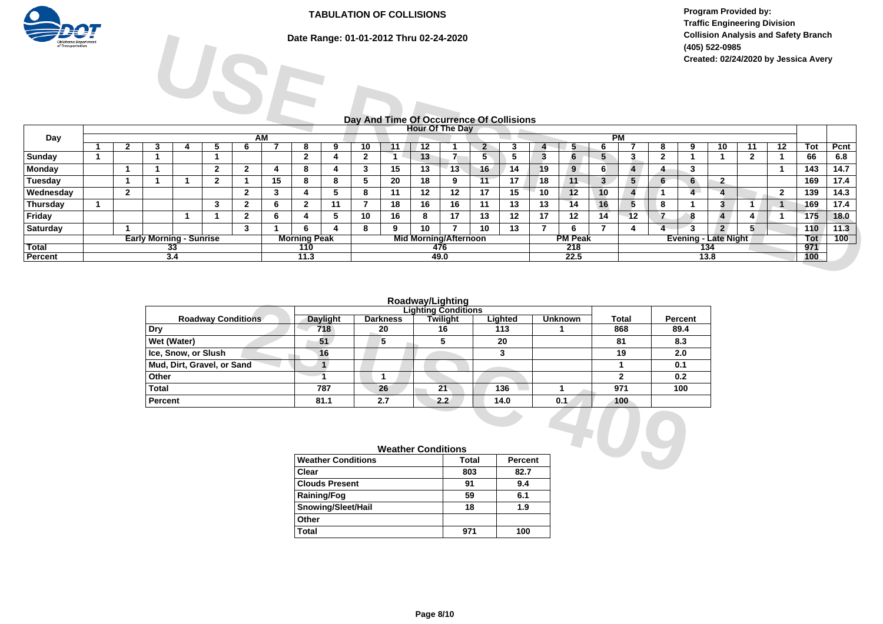

**Date Range: 01-01-2012 Thru 02-24-2020**

**Program Provided by: Traffic Engineering Division Collision Analysis and Safety Branch (405) 522-0985 Created: 02/24/2020 by Jessica Avery**

# **Day And Time Of Occurrence Of Collisions**

| ----<br><b>Oklahoma Department</b><br>of Transportation |   |              | Date Range: 01-01-2012 Thru 02-24-2020<br>SI<br>Day And Time Of Occurrence Of Collisions |    |                |              |           |                     |    |                |    |                              |      |                 |    |    | (405) 522-0985 |    | Collision Analysis and Safety Branch<br>Created: 02/24/2020 by Jessica Avery |              |                 |                             |                         |                 |            |      |
|---------------------------------------------------------|---|--------------|------------------------------------------------------------------------------------------|----|----------------|--------------|-----------|---------------------|----|----------------|----|------------------------------|------|-----------------|----|----|----------------|----|------------------------------------------------------------------------------|--------------|-----------------|-----------------------------|-------------------------|-----------------|------------|------|
|                                                         |   |              |                                                                                          |    |                |              |           |                     |    |                |    |                              |      |                 |    |    |                |    |                                                                              |              |                 |                             |                         |                 |            |      |
| Day                                                     |   |              |                                                                                          |    |                |              | <b>AM</b> |                     |    |                |    | <b>Hour Of The Day</b>       |      |                 |    |    |                |    | PM                                                                           |              |                 |                             |                         |                 |            |      |
|                                                         |   | $\mathbf{2}$ |                                                                                          |    |                |              |           | 8                   | 9  | 10             |    | 12                           |      | $\mathbf{p}$    |    |    |                |    |                                                                              | 8            | 9               | 10                          | 11                      | $\overline{12}$ | <b>Tot</b> | Pcnt |
| Sunday                                                  |   |              |                                                                                          |    |                |              |           | $\mathbf{2}$        |    | $\overline{2}$ |    | 13                           |      |                 | -5 | 3  | 6              | 5  | 3.                                                                           | $\mathbf{2}$ |                 |                             | $\overline{\mathbf{2}}$ |                 | 66         | 6.8  |
| <b>Monday</b>                                           |   |              |                                                                                          |    | $\overline{2}$ | $\mathbf{2}$ | 4         | 8                   |    | 3              | 15 | 13                           | 13   | 16 <sup>1</sup> | 14 | 19 | 9              | 6  |                                                                              |              | 3               |                             |                         |                 | 143        | 14.7 |
| Tuesday                                                 |   |              |                                                                                          |    | $\mathbf{2}$   |              | 15        | 8                   | 8  | 5              | 20 | 18                           | 9    | 11              | 17 | 18 | 11             | 3  | 5 <sub>1</sub>                                                               | 6            | $6\overline{6}$ | $\overline{2}$              |                         |                 | 169        | 17.4 |
| Wednesday                                               |   | $\mathbf{2}$ |                                                                                          |    |                | $\mathbf{2}$ | 3         |                     | 5  | 8              | 11 | 12                           | 12   | 17              | 15 | 10 | 12             | 10 | 4                                                                            |              | $\overline{4}$  |                             |                         | $\overline{2}$  | 139        | 14.3 |
| Thursday                                                | 1 |              |                                                                                          |    | 3              | $\mathbf{2}$ | 6         | $\mathbf{2}$        | 11 | 7              | 18 | 16                           | 16   | 11              | 13 | 13 | 14             | 16 | 5                                                                            | 8            |                 | 3                           |                         |                 | 169        | 17.4 |
| Friday                                                  |   |              |                                                                                          |    |                | $\mathbf{2}$ | 6         |                     |    | 10             | 16 | 8                            | 17   | 13              | 12 | 17 | 12             | 14 | 12                                                                           |              | 8               | $\overline{4}$              | 4                       |                 | 175        | 18.0 |
| <b>Saturday</b>                                         |   |              |                                                                                          |    |                | 3            |           | 6.                  |    | 8              | 9  | 10                           |      | 10              | 13 |    |                |    |                                                                              | 4            | 3               | $2^{\circ}$                 | 5                       |                 | 110        | 11.3 |
|                                                         |   |              | <b>Early Morning - Sunrise</b>                                                           |    |                |              |           | <b>Morning Peak</b> |    |                |    | <b>Mid Morning/Afternoon</b> |      |                 |    |    | <b>PM Peak</b> |    |                                                                              |              |                 | <b>Evening - Late Night</b> |                         |                 | Tot        | 100  |
| <b>Total</b>                                            |   |              |                                                                                          | 33 |                |              |           | 110                 |    |                |    |                              | 476  |                 |    |    | 218            |    |                                                                              |              |                 | 134                         |                         |                 | 971        |      |
| Percent                                                 |   |              | 3.4                                                                                      |    |                |              |           | 11.3                |    |                |    |                              | 49.0 |                 |    |    | 22.5           |    |                                                                              |              |                 | 13.8                        |                         |                 | 100        |      |

### **Roadway/Lighting**

|                            |                           |                 | Roadway/Lighting           |         |                |                  |         |
|----------------------------|---------------------------|-----------------|----------------------------|---------|----------------|------------------|---------|
|                            |                           |                 | <b>Lighting Conditions</b> |         |                |                  |         |
| <b>Roadway Conditions</b>  | Daylight                  | <b>Darkness</b> | Twilight                   | Lighted | <b>Unknown</b> | <b>Total</b>     | Percent |
| Dry                        | 718                       | 20              | 16                         | 113     |                | 868              | 89.4    |
| Wet (Water)                | 51                        | 5               | 5                          | 20      |                | 81               | 8.3     |
| Ice, Snow, or Slush        | 16                        |                 |                            | 3       |                | 19               | 2.0     |
| Mud, Dirt, Gravel, or Sand |                           |                 |                            |         |                |                  | 0.1     |
| Other                      |                           |                 |                            |         |                | $\mathbf{2}$     | 0.2     |
| <b>Total</b>               | 787                       | 26              | 21                         | 136     |                | 971              | 100     |
| Percent                    | 81.1                      | 2.7             | 2.2                        | 14.0    | 0.1            | 100 <sub>1</sub> |         |
|                            |                           |                 |                            |         |                |                  |         |
|                            |                           |                 | <b>Weather Conditions</b>  |         |                |                  |         |
|                            | <b>Weather Conditions</b> |                 |                            | Total   | Percent        |                  |         |
|                            | Clear                     |                 |                            | 803     | 82.7           |                  |         |

| <b>Weather Conditions</b> |              |                |  |  |  |  |  |  |
|---------------------------|--------------|----------------|--|--|--|--|--|--|
| <b>Weather Conditions</b> | <b>Total</b> | <b>Percent</b> |  |  |  |  |  |  |
| Clear                     | 803          | 82.7           |  |  |  |  |  |  |
| <b>Clouds Present</b>     | 91           | 9.4            |  |  |  |  |  |  |
| <b>Raining/Fog</b>        | 59           | 6.1            |  |  |  |  |  |  |
| Snowing/Sleet/Hail        | 18           | 1.9            |  |  |  |  |  |  |
| Other                     |              |                |  |  |  |  |  |  |
| Total                     |              | $100 -$        |  |  |  |  |  |  |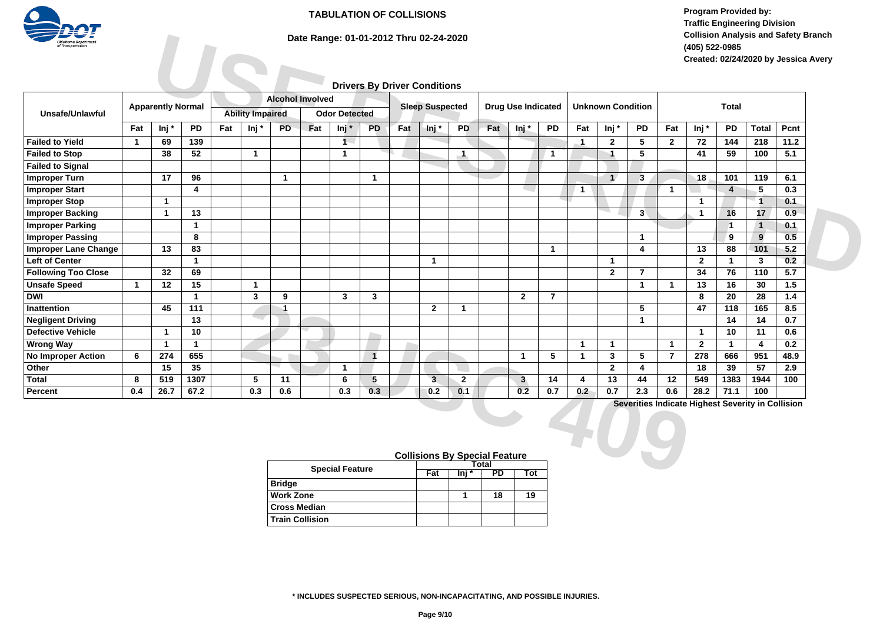

# **Date Range: 01-01-2012 Thru 02-24-2020**

**Program Provided by: Traffic Engineering Division Collision Analysis and Safety Branch (405) 522-0985 Created: 02/24/2020 by Jessica Avery**

# **Drivers By Driver Conditions**

| <b>Oklahoma</b> Department<br>f Transportation       |              |                          |              |     | Date Range: 01-01-2012 Thru 02-24-2020 |                           |                         |                         |              |     |                                      |                 |       |                           |                |                | (405) 522-0985           |                | <b>Collision Analysis and Safety Branch</b> |                    |                      |                                                   |      |  |
|------------------------------------------------------|--------------|--------------------------|--------------|-----|----------------------------------------|---------------------------|-------------------------|-------------------------|--------------|-----|--------------------------------------|-----------------|-------|---------------------------|----------------|----------------|--------------------------|----------------|---------------------------------------------|--------------------|----------------------|---------------------------------------------------|------|--|
|                                                      |              |                          |              |     |                                        |                           |                         |                         |              |     |                                      |                 |       |                           |                |                |                          |                |                                             |                    |                      | Created: 02/24/2020 by Jessica Avery              |      |  |
|                                                      |              |                          |              |     |                                        |                           |                         |                         |              |     | <b>Drivers By Driver Conditions</b>  |                 |       |                           |                |                |                          |                |                                             |                    |                      |                                                   |      |  |
|                                                      |              |                          |              |     |                                        |                           | <b>Alcohol Involved</b> |                         |              |     |                                      |                 |       |                           |                |                |                          |                |                                             |                    |                      |                                                   |      |  |
| Unsafe/Unlawful                                      |              | <b>Apparently Normal</b> |              |     | <b>Ability Impaired</b>                |                           |                         | <b>Odor Detected</b>    |              |     | <b>Sleep Suspected</b>               |                 |       | <b>Drug Use Indicated</b> |                |                | <b>Unknown Condition</b> |                |                                             |                    | <b>Total</b>         |                                                   |      |  |
|                                                      | Fat          | Inj*                     | PD           | Fat | lnj *                                  | <b>PD</b>                 | Fat                     | $Inj^*$                 | <b>PD</b>    | Fat | Inj*                                 | <b>PD</b>       | Fat   | Inj*                      | <b>PD</b>      | Fat            | Inj*                     | PD             | Fat                                         | Inj*               | <b>PD</b>            | <b>Total</b>                                      | Pcnt |  |
| <b>Failed to Yield</b>                               |              | 69                       | 139          |     |                                        |                           |                         | $\mathbf{1}$            |              |     |                                      |                 |       |                           |                |                |                          |                |                                             | 72                 | 144                  | 218                                               | 11.2 |  |
|                                                      | $\mathbf 1$  |                          |              |     |                                        |                           |                         |                         |              |     |                                      |                 |       |                           |                | $^{-1}$        | $\mathbf{2}$             | 5              | $\overline{2}$                              |                    |                      |                                                   |      |  |
| <b>Failed to Stop</b><br><b>Failed to Signal</b>     |              | 38                       | 52           |     | $\mathbf{1}$                           |                           |                         | $\overline{\mathbf{1}}$ |              |     |                                      | $\blacksquare$  |       |                           | $\mathbf{1}$   |                | $\mathbf{1}$             | 5              |                                             | 41                 | 59                   | 100                                               | 5.1  |  |
| <b>Improper Turn</b>                                 |              | 17                       | 96           |     |                                        | $\mathbf{1}$              |                         |                         | $\mathbf{1}$ |     |                                      |                 |       |                           |                |                | $\overline{A}$           | $\mathbf{3}$   |                                             | 18                 | 101                  | 119                                               | 6.1  |  |
| <b>Improper Start</b>                                |              |                          | 4            |     |                                        |                           |                         |                         |              |     |                                      |                 |       |                           |                | $\overline{1}$ |                          |                | $\mathbf{1}$                                |                    | $\overline{4}$       | 5                                                 | 0.3  |  |
| <b>Improper Stop</b>                                 |              | $\mathbf{1}$             |              |     |                                        |                           |                         |                         |              |     |                                      |                 |       |                           |                |                |                          |                |                                             | $\mathbf{1}$       |                      | $\mathbf{1}$                                      | 0.1  |  |
| <b>Improper Backing</b>                              |              | $\mathbf{1}$             | 13           |     |                                        |                           |                         |                         |              |     |                                      |                 |       |                           |                |                |                          | 3              |                                             | $\mathbf{1}$       |                      | 17                                                | 0.9  |  |
| <b>Improper Parking</b>                              |              |                          | $\mathbf{1}$ |     |                                        |                           |                         |                         |              |     |                                      |                 |       |                           |                |                |                          |                |                                             |                    | 16<br>$\overline{1}$ | $\sqrt{1}$                                        | 0.1  |  |
| <b>Improper Passing</b>                              |              |                          | 8            |     |                                        |                           |                         |                         |              |     |                                      |                 |       |                           |                |                |                          | $\mathbf{1}$   |                                             |                    | 9                    | $9^{\circ}$                                       | 0.5  |  |
|                                                      |              | 13                       | 83           |     |                                        |                           |                         |                         |              |     |                                      |                 |       |                           |                |                |                          | 4              |                                             |                    |                      | 101                                               | 5.2  |  |
| <b>Improper Lane Change</b><br><b>Left of Center</b> |              |                          | $\mathbf{1}$ |     |                                        |                           |                         |                         |              |     |                                      |                 |       |                           | $\mathbf{1}$   |                | $\mathbf{1}$             |                |                                             | 13<br>$\mathbf{2}$ | 88<br>$\mathbf{1}$   | $\mathbf{3}$                                      | 0.2  |  |
| <b>Following Too Close</b>                           |              | 32                       | 69           |     |                                        |                           |                         |                         |              |     | $\mathbf{1}$                         |                 |       |                           |                |                | $\overline{2}$           | $\overline{7}$ |                                             | 34                 | 76                   | 110                                               | 5.7  |  |
| <b>Unsafe Speed</b>                                  | $\mathbf{1}$ |                          | 15           |     | $\mathbf{1}$                           |                           |                         |                         |              |     |                                      |                 |       |                           |                |                |                          | $\mathbf{1}$   | $\mathbf{1}$                                | 13                 | 16                   | 30                                                | 1.5  |  |
| <b>DWI</b>                                           |              | 12                       | $\mathbf{1}$ |     | 3                                      |                           |                         | $\overline{3}$          |              |     |                                      |                 |       |                           | $\overline{7}$ |                |                          |                |                                             |                    |                      |                                                   | 1.4  |  |
| <b>Inattention</b>                                   |              |                          |              |     |                                        | 9<br>$\blacktriangleleft$ |                         |                         | $\mathbf{3}$ |     |                                      | $\mathbf{1}$    |       | $\mathbf{2}$              |                |                |                          | 5              |                                             | 8                  | 20                   | 28                                                |      |  |
|                                                      |              | 45                       | 111<br>13    |     |                                        |                           |                         |                         |              |     | $\overline{2}$                       |                 |       |                           |                |                |                          |                |                                             | 47                 | 118                  | 165                                               | 8.5  |  |
| <b>Negligent Driving</b>                             |              |                          |              |     |                                        |                           |                         |                         |              |     |                                      |                 |       |                           |                |                |                          | $\mathbf{1}$   |                                             |                    | 14                   | 14                                                | 0.7  |  |
| <b>Defective Vehicle</b>                             |              | $\mathbf{1}$             | 10           |     |                                        |                           |                         |                         |              |     |                                      |                 |       |                           |                |                |                          |                |                                             | $\mathbf{1}$       | 10                   | 11                                                | 0.6  |  |
| <b>Wrong Way</b>                                     |              | $\mathbf{1}$             | $\mathbf{1}$ |     |                                        |                           |                         |                         |              |     |                                      |                 |       |                           |                | $\mathbf{1}$   | $\mathbf{1}$             |                | $\mathbf{1}$                                | $\mathbf{2}$       | $\mathbf{1}$         | 4                                                 | 0.2  |  |
| No Improper Action                                   | 6            | 274                      | 655          |     |                                        |                           |                         |                         | $\mathbf{1}$ |     |                                      |                 |       | $\mathbf{1}$              | 5              | $\mathbf{1}$   | $\mathbf{3}$             | 5              | $\overline{7}$                              | 278                | 666                  | 951                                               | 48.9 |  |
| Other                                                |              | 15                       | 35           |     |                                        |                           |                         | $\overline{1}$          |              |     |                                      |                 |       |                           |                |                | $\overline{2}$           | 4              |                                             | 18                 | 39                   | 57                                                | 2.9  |  |
| <b>Total</b>                                         | 8            | 519                      | 1307         |     | 5                                      | 11                        |                         | 6                       | 5            |     | 3                                    | $\mathbf{2}$    |       | 3 <sup>1</sup>            | 14             | 4              | 13                       | 44             | 12                                          | 549                | 1383                 | 1944                                              | 100  |  |
| Percent                                              | 0.4          | 26.7                     | 67.2         |     | 0.3                                    | 0.6                       |                         | 0.3                     | 0.3          |     | 0.2                                  | 0.1             |       | 0.2                       | 0.7            | 0.2            | 0.7                      | 2.3            | 0.6                                         | 28.2               | 71.1                 | 100                                               |      |  |
|                                                      |              |                          |              |     |                                        |                           |                         |                         |              |     |                                      |                 |       |                           |                |                |                          |                |                                             |                    |                      | Severities Indicate Highest Severity in Collision |      |  |
|                                                      |              |                          |              |     |                                        |                           |                         |                         |              |     | <b>Collisions By Special Feature</b> |                 |       |                           |                |                |                          |                |                                             |                    |                      |                                                   |      |  |
|                                                      |              |                          |              |     |                                        |                           |                         | <b>Special Feature</b>  |              |     |                                      |                 | Total |                           |                |                |                          |                |                                             |                    |                      |                                                   |      |  |
|                                                      |              |                          |              |     |                                        |                           |                         |                         |              |     |                                      | $Fat$ $\ln i *$ |       | $PD$ Tot                  |                |                |                          |                |                                             |                    |                      |                                                   |      |  |

|                        |       | <b>Collisions By Special Feature</b> |    |     |  |  |  |  |  |  |  |
|------------------------|-------|--------------------------------------|----|-----|--|--|--|--|--|--|--|
| <b>Special Feature</b> | Total |                                      |    |     |  |  |  |  |  |  |  |
|                        | Fat   | Ini                                  | PD | Tot |  |  |  |  |  |  |  |
| <b>Bridge</b>          |       |                                      |    |     |  |  |  |  |  |  |  |
| <b>Work Zone</b>       |       |                                      | 18 | 19  |  |  |  |  |  |  |  |
| <b>Cross Median</b>    |       |                                      |    |     |  |  |  |  |  |  |  |
| <b>Train Collision</b> |       |                                      |    |     |  |  |  |  |  |  |  |